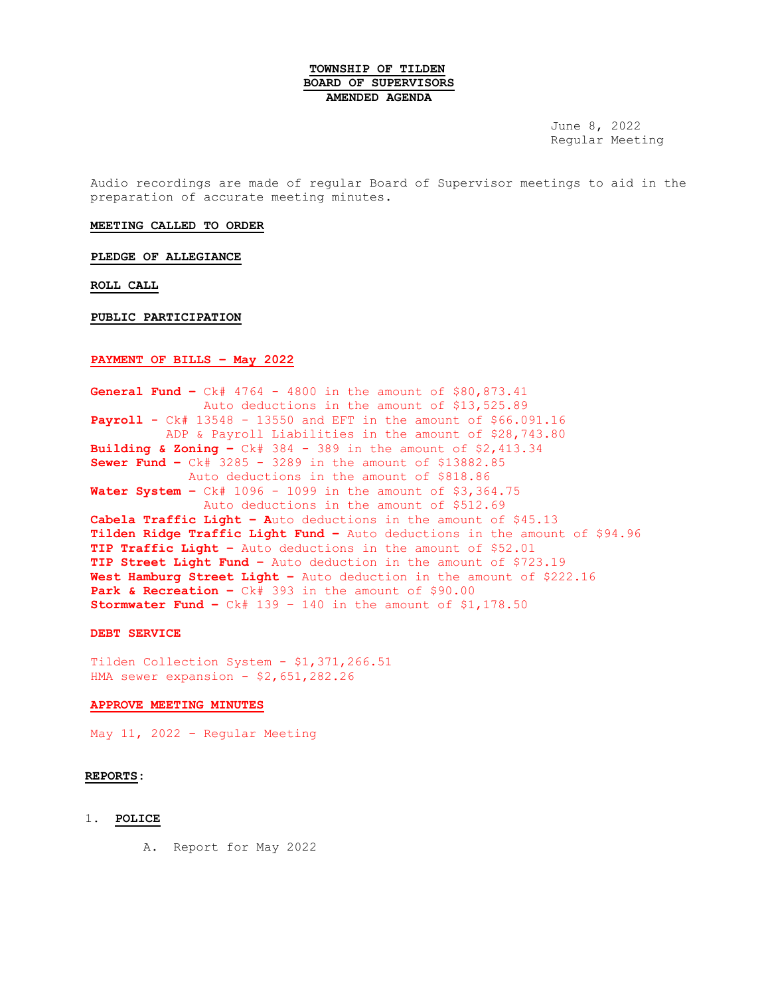### **TOWNSHIP OF TILDEN BOARD OF SUPERVISORS AMENDED AGENDA**

June 8, 2022 Regular Meeting

Audio recordings are made of regular Board of Supervisor meetings to aid in the preparation of accurate meeting minutes.

#### **MEETING CALLED TO ORDER**

**PLEDGE OF ALLEGIANCE**

**ROLL CALL**

#### **PUBLIC PARTICIPATION**

### **PAYMENT OF BILLS – May 2022**

**General Fund –** Ck# 4764 - 4800 in the amount of \$80,873.41 Auto deductions in the amount of \$13,525.89 **Payroll -** Ck# 13548 - 13550 and EFT in the amount of \$66.091.16 ADP & Payroll Liabilities in the amount of \$28,743.80 **Building & Zoning –** Ck# 384 - 389 in the amount of \$2,413.34 **Sewer Fund –** Ck# 3285 - 3289 in the amount of \$13882.85 Auto deductions in the amount of \$818.86 **Water System –** Ck# 1096 - 1099 in the amount of \$3,364.75 Auto deductions in the amount of \$512.69 **Cabela Traffic Light – A**uto deductions in the amount of \$45.13 **Tilden Ridge Traffic Light Fund –** Auto deductions in the amount of \$94.96 **TIP Traffic Light –** Auto deductions in the amount of \$52.01 **TIP Street Light Fund –** Auto deduction in the amount of \$723.19 **West Hamburg Street Light –** Auto deduction in the amount of \$222.16 **Park & Recreation –** Ck# 393 in the amount of \$90.00 **Stormwater Fund –** Ck# 139 – 140 in the amount of \$1,178.50

#### **DEBT SERVICE**

Tilden Collection System - \$1,371,266.51 HMA sewer expansion - \$2,651,282.26

## **APPROVE MEETING MINUTES**

May 11, 2022 – Regular Meeting

#### **REPORTS:**

- 1. **POLICE**
	- A. Report for May 2022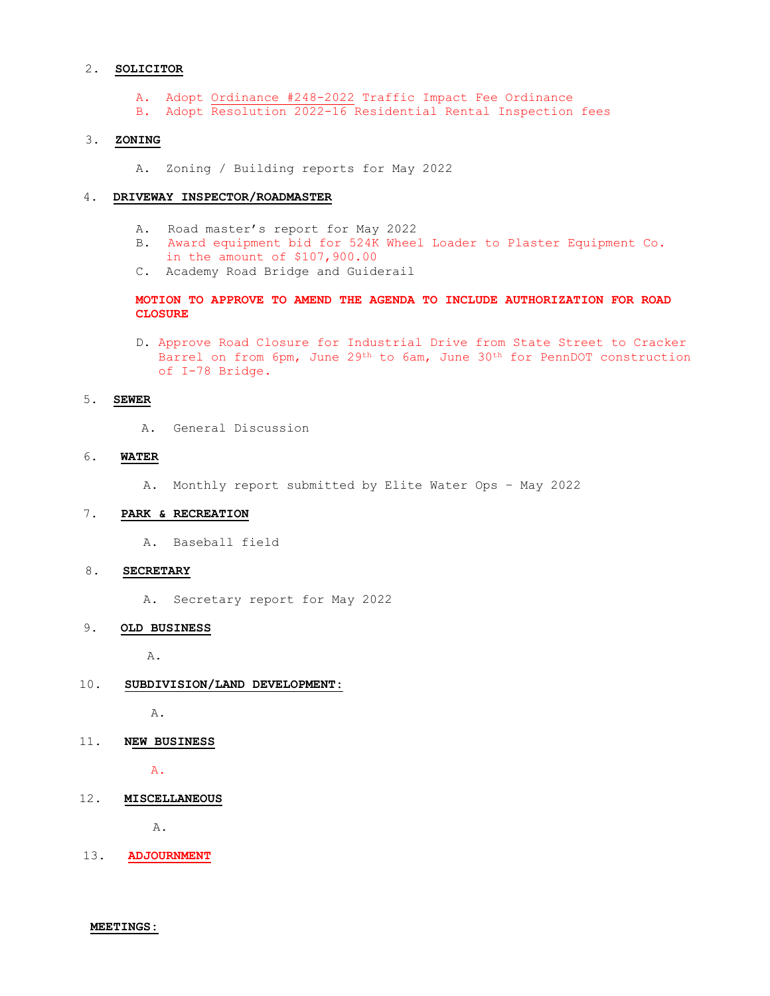#### 2. **SOLICITOR**

- A. Adopt Ordinance #248-2022 Traffic Impact Fee Ordinance
- B. Adopt Resolution 2022-16 Residential Rental Inspection fees

# 3. **ZONING**

A. Zoning / Building reports for May 2022

# 4**. DRIVEWAY INSPECTOR/ROADMASTER**

- A. Road master's report for May 2022
- B. Award equipment bid for 524K Wheel Loader to Plaster Equipment Co.
- in the amount of \$107,900.00
- C. Academy Road Bridge and Guiderail

### **MOTION TO APPROVE TO AMEND THE AGENDA TO INCLUDE AUTHORIZATION FOR ROAD CLOSURE**

D. Approve Road Closure for Industrial Drive from State Street to Cracker Barrel on from 6pm, June 29th to 6am, June 30th for PennDOT construction of I-78 Bridge.

#### 5. **SEWER**

A. General Discussion

# 6. **WATER**

A. Monthly report submitted by Elite Water Ops – May 2022

#### 7. **PARK & RECREATION**

A. Baseball field

### 8**. SECRETARY**

A. Secretary report for May 2022

### 9**. OLD BUSINESS**

A.

# 10**. SUBDIVISION/LAND DEVELOPMENT:**

A.

# 11**. NEW BUSINESS**

A.

### 12**. MISCELLANEOUS**

A.

13. **ADJOURNMENT**

**MEETINGS:**